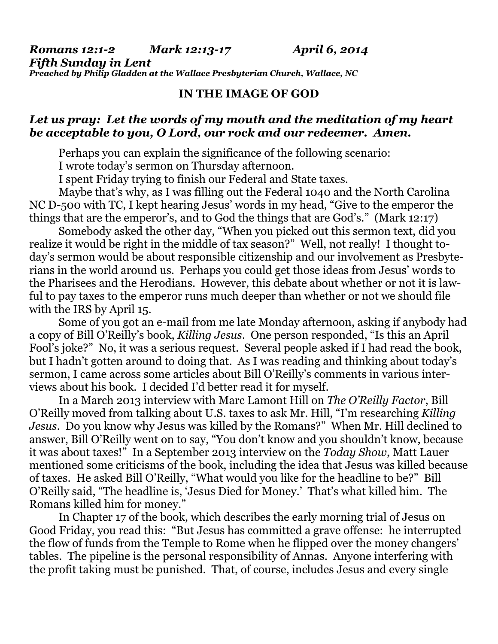*Romans 12:1-2 Mark 12:13-17 April 6, 2014 Fifth Sunday in Lent Preached by Philip Gladden at the Wallace Presbyterian Church, Wallace, NC* 

## **IN THE IMAGE OF GOD**

## *Let us pray: Let the words of my mouth and the meditation of my heart be acceptable to you, O Lord, our rock and our redeemer. Amen.*

Perhaps you can explain the significance of the following scenario:

I wrote today's sermon on Thursday afternoon.

I spent Friday trying to finish our Federal and State taxes.

 Maybe that's why, as I was filling out the Federal 1040 and the North Carolina NC D-500 with TC, I kept hearing Jesus' words in my head, "Give to the emperor the things that are the emperor's, and to God the things that are God's." (Mark 12:17)

 Somebody asked the other day, "When you picked out this sermon text, did you realize it would be right in the middle of tax season?" Well, not really! I thought today's sermon would be about responsible citizenship and our involvement as Presbyterians in the world around us. Perhaps you could get those ideas from Jesus' words to the Pharisees and the Herodians. However, this debate about whether or not it is lawful to pay taxes to the emperor runs much deeper than whether or not we should file with the IRS by April 15.

 Some of you got an e-mail from me late Monday afternoon, asking if anybody had a copy of Bill O'Reilly's book, *Killing Jesus*. One person responded, "Is this an April Fool's joke?" No, it was a serious request. Several people asked if I had read the book, but I hadn't gotten around to doing that. As I was reading and thinking about today's sermon, I came across some articles about Bill O'Reilly's comments in various interviews about his book. I decided I'd better read it for myself.

 In a March 2013 interview with Marc Lamont Hill on *The O'Reilly Factor*, Bill O'Reilly moved from talking about U.S. taxes to ask Mr. Hill, "I'm researching *Killing Jesus*. Do you know why Jesus was killed by the Romans?" When Mr. Hill declined to answer, Bill O'Reilly went on to say, "You don't know and you shouldn't know, because it was about taxes!" In a September 2013 interview on the *Today Show*, Matt Lauer mentioned some criticisms of the book, including the idea that Jesus was killed because of taxes. He asked Bill O'Reilly, "What would you like for the headline to be?" Bill O'Reilly said, "The headline is, 'Jesus Died for Money.' That's what killed him. The Romans killed him for money."

 In Chapter 17 of the book, which describes the early morning trial of Jesus on Good Friday, you read this: "But Jesus has committed a grave offense: he interrupted the flow of funds from the Temple to Rome when he flipped over the money changers' tables. The pipeline is the personal responsibility of Annas. Anyone interfering with the profit taking must be punished. That, of course, includes Jesus and every single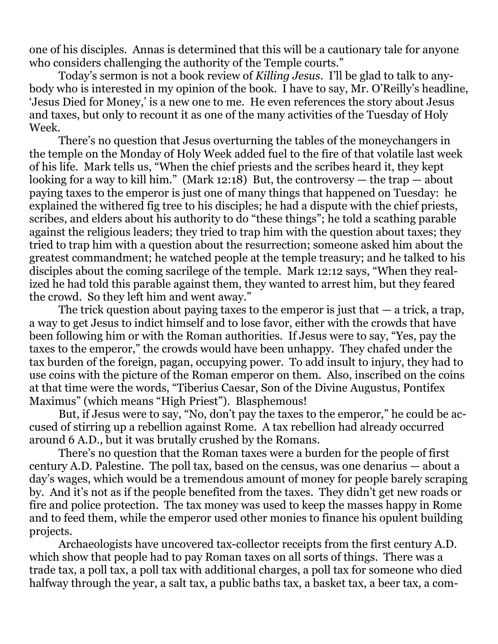one of his disciples. Annas is determined that this will be a cautionary tale for anyone who considers challenging the authority of the Temple courts."

 Today's sermon is not a book review of *Killing Jesus*. I'll be glad to talk to anybody who is interested in my opinion of the book. I have to say, Mr. O'Reilly's headline, 'Jesus Died for Money,' is a new one to me. He even references the story about Jesus and taxes, but only to recount it as one of the many activities of the Tuesday of Holy Week.

 There's no question that Jesus overturning the tables of the moneychangers in the temple on the Monday of Holy Week added fuel to the fire of that volatile last week of his life. Mark tells us, "When the chief priests and the scribes heard it, they kept looking for a way to kill him." (Mark 12:18) But, the controversy — the trap — about paying taxes to the emperor is just one of many things that happened on Tuesday: he explained the withered fig tree to his disciples; he had a dispute with the chief priests, scribes, and elders about his authority to do "these things"; he told a scathing parable against the religious leaders; they tried to trap him with the question about taxes; they tried to trap him with a question about the resurrection; someone asked him about the greatest commandment; he watched people at the temple treasury; and he talked to his disciples about the coming sacrilege of the temple. Mark 12:12 says, "When they realized he had told this parable against them, they wanted to arrest him, but they feared the crowd. So they left him and went away."

The trick question about paying taxes to the emperor is just that  $-$  a trick, a trap, a way to get Jesus to indict himself and to lose favor, either with the crowds that have been following him or with the Roman authorities. If Jesus were to say, "Yes, pay the taxes to the emperor," the crowds would have been unhappy. They chafed under the tax burden of the foreign, pagan, occupying power. To add insult to injury, they had to use coins with the picture of the Roman emperor on them. Also, inscribed on the coins at that time were the words, "Tiberius Caesar, Son of the Divine Augustus, Pontifex Maximus" (which means "High Priest"). Blasphemous!

 But, if Jesus were to say, "No, don't pay the taxes to the emperor," he could be accused of stirring up a rebellion against Rome. A tax rebellion had already occurred around 6 A.D., but it was brutally crushed by the Romans.

 There's no question that the Roman taxes were a burden for the people of first century A.D. Palestine. The poll tax, based on the census, was one denarius — about a day's wages, which would be a tremendous amount of money for people barely scraping by. And it's not as if the people benefited from the taxes. They didn't get new roads or fire and police protection. The tax money was used to keep the masses happy in Rome and to feed them, while the emperor used other monies to finance his opulent building projects.

 Archaeologists have uncovered tax-collector receipts from the first century A.D. which show that people had to pay Roman taxes on all sorts of things. There was a trade tax, a poll tax, a poll tax with additional charges, a poll tax for someone who died halfway through the year, a salt tax, a public baths tax, a basket tax, a beer tax, a com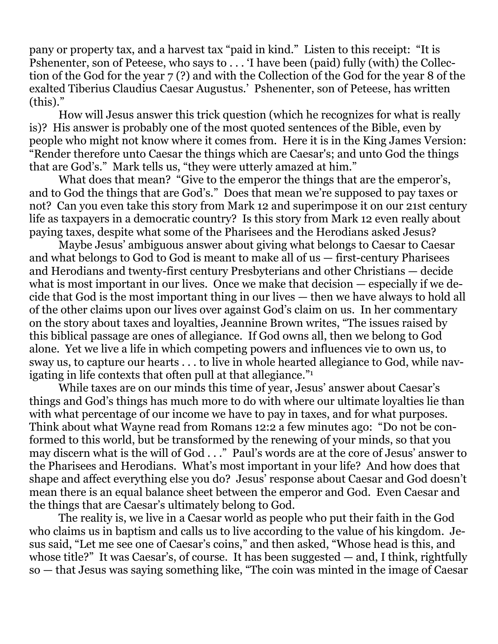pany or property tax, and a harvest tax "paid in kind." Listen to this receipt: "It is Pshenenter, son of Peteese, who says to . . . 'I have been (paid) fully (with) the Collection of the God for the year 7 (?) and with the Collection of the God for the year 8 of the exalted Tiberius Claudius Caesar Augustus.' Pshenenter, son of Peteese, has written (this)."

 How will Jesus answer this trick question (which he recognizes for what is really is)? His answer is probably one of the most quoted sentences of the Bible, even by people who might not know where it comes from. Here it is in the King James Version: "Render therefore unto Caesar the things which are Caesar's; and unto God the things that are God's." Mark tells us, "they were utterly amazed at him."

 What does that mean? "Give to the emperor the things that are the emperor's, and to God the things that are God's." Does that mean we're supposed to pay taxes or not? Can you even take this story from Mark 12 and superimpose it on our 21st century life as taxpayers in a democratic country? Is this story from Mark 12 even really about paying taxes, despite what some of the Pharisees and the Herodians asked Jesus?

 Maybe Jesus' ambiguous answer about giving what belongs to Caesar to Caesar and what belongs to God to God is meant to make all of us — first-century Pharisees and Herodians and twenty-first century Presbyterians and other Christians — decide what is most important in our lives. Once we make that decision — especially if we decide that God is the most important thing in our lives — then we have always to hold all of the other claims upon our lives over against God's claim on us. In her commentary on the story about taxes and loyalties, Jeannine Brown writes, "The issues raised by this biblical passage are ones of allegiance. If God owns all, then we belong to God alone. Yet we live a life in which competing powers and influences vie to own us, to sway us, to capture our hearts . . . to live in whole hearted allegiance to God, while navigating in life contexts that often pull at that allegiance."1

 While taxes are on our minds this time of year, Jesus' answer about Caesar's things and God's things has much more to do with where our ultimate loyalties lie than with what percentage of our income we have to pay in taxes, and for what purposes. Think about what Wayne read from Romans 12:2 a few minutes ago: "Do not be conformed to this world, but be transformed by the renewing of your minds, so that you may discern what is the will of God . . ." Paul's words are at the core of Jesus' answer to the Pharisees and Herodians. What's most important in your life? And how does that shape and affect everything else you do? Jesus' response about Caesar and God doesn't mean there is an equal balance sheet between the emperor and God. Even Caesar and the things that are Caesar's ultimately belong to God.

 The reality is, we live in a Caesar world as people who put their faith in the God who claims us in baptism and calls us to live according to the value of his kingdom. Jesus said, "Let me see one of Caesar's coins," and then asked, "Whose head is this, and whose title?" It was Caesar's, of course. It has been suggested — and, I think, rightfully so — that Jesus was saying something like, "The coin was minted in the image of Caesar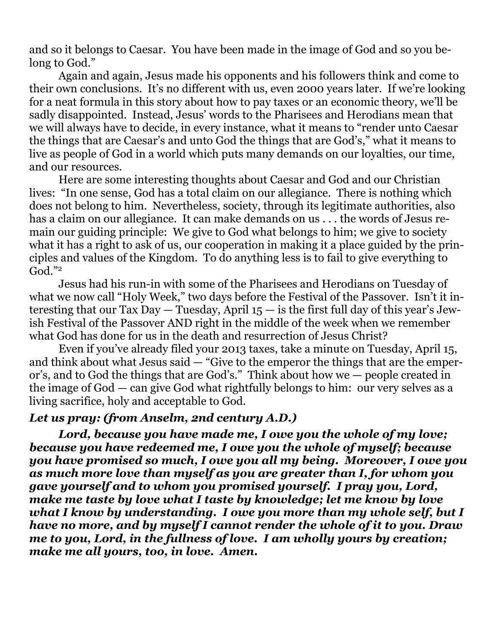and so it belongs to Caesar. You have been made in the image of God and so you belong to God."

 Again and again, Jesus made his opponents and his followers think and come to their own conclusions. It's no different with us, even 2000 years later. If we're looking for a neat formula in this story about how to pay taxes or an economic theory, we'll be sadly disappointed. Instead, Jesus' words to the Pharisees and Herodians mean that we will always have to decide, in every instance, what it means to "render unto Caesar the things that are Caesar's and unto God the things that are God's," what it means to live as people of God in a world which puts many demands on our loyalties, our time, and our resources.

 Here are some interesting thoughts about Caesar and God and our Christian lives: "In one sense, God has a total claim on our allegiance. There is nothing which does not belong to him. Nevertheless, society, through its legitimate authorities, also has a claim on our allegiance. It can make demands on us . . . the words of Jesus remain our guiding principle: We give to God what belongs to him; we give to society what it has a right to ask of us, our cooperation in making it a place guided by the principles and values of the Kingdom. To do anything less is to fail to give everything to  $God.$ "2

 Jesus had his run-in with some of the Pharisees and Herodians on Tuesday of what we now call "Holy Week," two days before the Festival of the Passover. Isn't it interesting that our Tax Day  $-$  Tuesday, April  $15 -$  is the first full day of this year's Jewish Festival of the Passover AND right in the middle of the week when we remember what God has done for us in the death and resurrection of Jesus Christ?

 Even if you've already filed your 2013 taxes, take a minute on Tuesday, April 15, and think about what Jesus said — "Give to the emperor the things that are the emperor's, and to God the things that are God's." Think about how we — people created in the image of God — can give God what rightfully belongs to him: our very selves as a living sacrifice, holy and acceptable to God.

## *Let us pray: (from Anselm, 2nd century A.D.)*

 *Lord, because you have made me, I owe you the whole of my love; because you have redeemed me, I owe you the whole of myself; because you have promised so much, I owe you all my being. Moreover, I owe you as much more love than myself as you are greater than I, for whom you gave yourself and to whom you promised yourself. I pray you, Lord, make me taste by love what I taste by knowledge; let me know by love what I know by understanding. I owe you more than my whole self, but I have no more, and by myself I cannot render the whole of it to you. Draw me to you, Lord, in the fullness of love. I am wholly yours by creation; make me all yours, too, in love. Amen.*